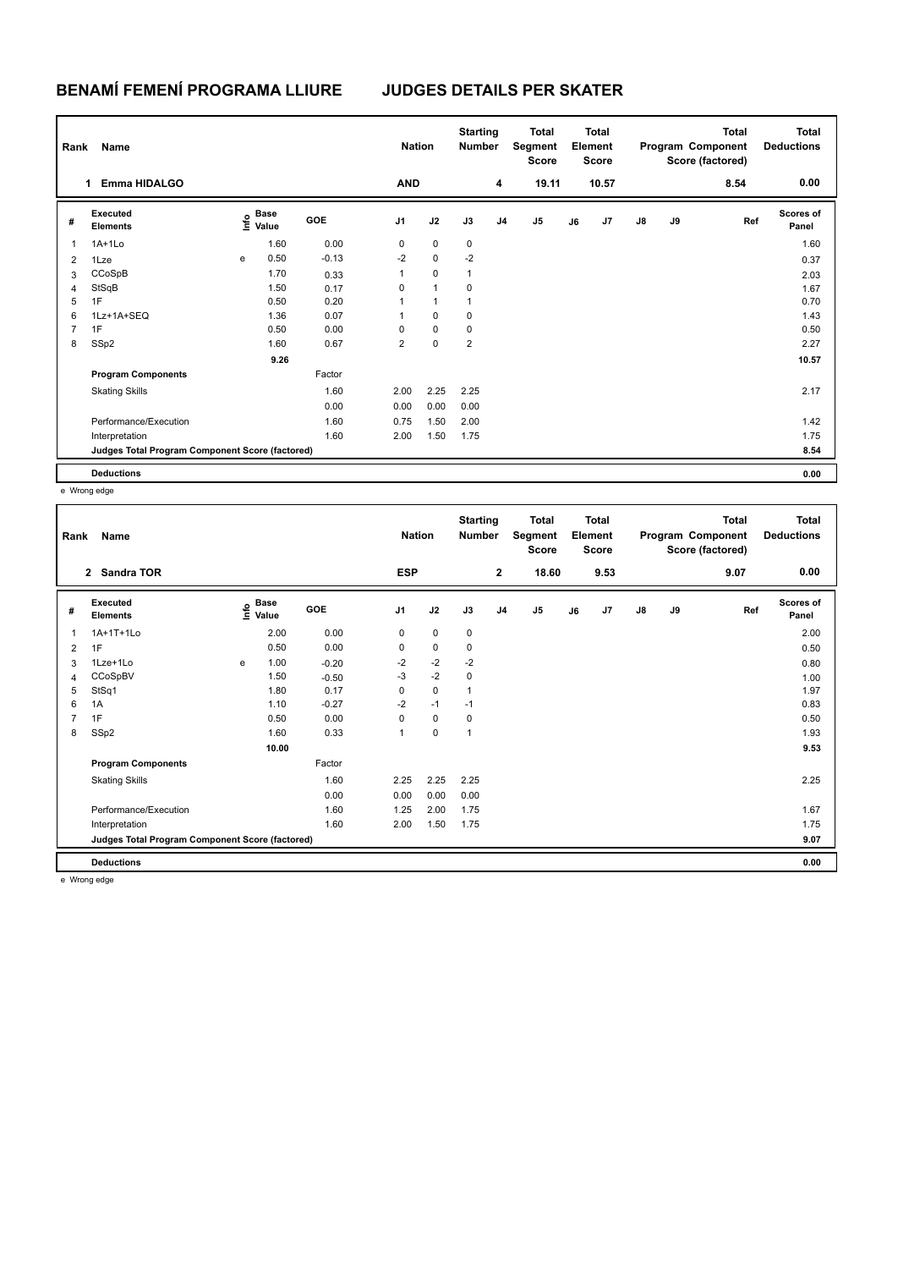## **BENAMÍ FEMENÍ PROGRAMA LLIURE JUDGES DETAILS PER SKATER**

| Name<br>Rank   |                                                 |   |                                  |         |                | <b>Nation</b> |              | <b>Starting</b><br><b>Number</b> | Total<br>Segment<br><b>Score</b> | <b>Total</b><br>Element<br><b>Score</b> |                |               |    | Total<br>Program Component<br>Score (factored) | <b>Total</b><br><b>Deductions</b> |
|----------------|-------------------------------------------------|---|----------------------------------|---------|----------------|---------------|--------------|----------------------------------|----------------------------------|-----------------------------------------|----------------|---------------|----|------------------------------------------------|-----------------------------------|
|                | <b>Emma HIDALGO</b><br>1                        |   |                                  |         | <b>AND</b>     |               |              | 4                                | 19.11                            |                                         | 10.57          |               |    | 8.54                                           | 0.00                              |
| #              | Executed<br><b>Elements</b>                     |   | <b>Base</b><br>e Base<br>⊆ Value | GOE     | J <sub>1</sub> | J2            | J3           | J <sub>4</sub>                   | J5                               | J6                                      | J <sub>7</sub> | $\mathsf{J}8$ | J9 | Ref                                            | <b>Scores of</b><br>Panel         |
| 1              | $1A+1Lo$                                        |   | 1.60                             | 0.00    | 0              | $\mathbf 0$   | 0            |                                  |                                  |                                         |                |               |    |                                                | 1.60                              |
| $\overline{2}$ | 1Lze                                            | e | 0.50                             | $-0.13$ | $-2$           | $\mathbf 0$   | $-2$         |                                  |                                  |                                         |                |               |    |                                                | 0.37                              |
| 3              | CCoSpB                                          |   | 1.70                             | 0.33    | $\mathbf{1}$   | $\mathbf 0$   | $\mathbf{1}$ |                                  |                                  |                                         |                |               |    |                                                | 2.03                              |
| $\overline{4}$ | StSqB                                           |   | 1.50                             | 0.17    | 0              | $\mathbf{1}$  | 0            |                                  |                                  |                                         |                |               |    |                                                | 1.67                              |
| 5              | 1F                                              |   | 0.50                             | 0.20    | 1              | $\mathbf{1}$  | $\mathbf{1}$ |                                  |                                  |                                         |                |               |    |                                                | 0.70                              |
| 6              | 1Lz+1A+SEQ                                      |   | 1.36                             | 0.07    | 1              | $\mathbf 0$   | 0            |                                  |                                  |                                         |                |               |    |                                                | 1.43                              |
| 7              | 1F                                              |   | 0.50                             | 0.00    | 0              | $\mathbf 0$   | 0            |                                  |                                  |                                         |                |               |    |                                                | 0.50                              |
| 8              | SSp2                                            |   | 1.60                             | 0.67    | $\overline{2}$ | 0             | 2            |                                  |                                  |                                         |                |               |    |                                                | 2.27                              |
|                |                                                 |   | 9.26                             |         |                |               |              |                                  |                                  |                                         |                |               |    |                                                | 10.57                             |
|                | <b>Program Components</b>                       |   |                                  | Factor  |                |               |              |                                  |                                  |                                         |                |               |    |                                                |                                   |
|                | <b>Skating Skills</b>                           |   |                                  | 1.60    | 2.00           | 2.25          | 2.25         |                                  |                                  |                                         |                |               |    |                                                | 2.17                              |
|                |                                                 |   |                                  | 0.00    | 0.00           | 0.00          | 0.00         |                                  |                                  |                                         |                |               |    |                                                |                                   |
|                | Performance/Execution                           |   |                                  | 1.60    | 0.75           | 1.50          | 2.00         |                                  |                                  |                                         |                |               |    |                                                | 1.42                              |
|                | Interpretation                                  |   |                                  | 1.60    | 2.00           | 1.50          | 1.75         |                                  |                                  |                                         |                |               |    |                                                | 1.75                              |
|                | Judges Total Program Component Score (factored) |   |                                  |         |                |               |              |                                  |                                  |                                         |                |               |    |                                                | 8.54                              |
|                | <b>Deductions</b>                               |   |                                  |         |                |               |              |                                  |                                  |                                         |                |               |    |                                                | 0.00                              |

e Wrong edge

| Rank | <b>Name</b>                                     |   | <b>Nation</b>                    |            | <b>Starting</b><br><b>Number</b> | <b>Total</b><br>Segment<br><b>Score</b> | <b>Total</b><br>Element<br><b>Score</b> |                |       |    | <b>Total</b><br>Program Component<br>Score (factored) | <b>Total</b><br><b>Deductions</b> |    |      |                           |
|------|-------------------------------------------------|---|----------------------------------|------------|----------------------------------|-----------------------------------------|-----------------------------------------|----------------|-------|----|-------------------------------------------------------|-----------------------------------|----|------|---------------------------|
|      | Sandra TOR<br>$\overline{2}$                    |   |                                  |            | <b>ESP</b>                       |                                         |                                         | $\mathbf{2}$   | 18.60 |    | 9.53                                                  |                                   |    | 9.07 | 0.00                      |
| #    | Executed<br><b>Elements</b>                     |   | <b>Base</b><br>e Base<br>⊆ Value | <b>GOE</b> | J <sub>1</sub>                   | J2                                      | J3                                      | J <sub>4</sub> | J5    | J6 | J <sub>7</sub>                                        | $\mathsf{J}8$                     | J9 | Ref  | <b>Scores of</b><br>Panel |
| 1    | 1A+1T+1Lo                                       |   | 2.00                             | 0.00       | 0                                | $\mathbf 0$                             | $\mathbf 0$                             |                |       |    |                                                       |                                   |    |      | 2.00                      |
| 2    | 1F                                              |   | 0.50                             | 0.00       | 0                                | $\mathbf 0$                             | 0                                       |                |       |    |                                                       |                                   |    |      | 0.50                      |
| 3    | 1Lze+1Lo                                        | e | 1.00                             | $-0.20$    | $-2$                             | $-2$                                    | $-2$                                    |                |       |    |                                                       |                                   |    |      | 0.80                      |
| 4    | CCoSpBV                                         |   | 1.50                             | $-0.50$    | $-3$                             | $-2$                                    | $\mathbf 0$                             |                |       |    |                                                       |                                   |    |      | 1.00                      |
| 5    | StSq1                                           |   | 1.80                             | 0.17       | 0                                | $\mathbf 0$                             | $\mathbf{1}$                            |                |       |    |                                                       |                                   |    |      | 1.97                      |
| 6    | 1A                                              |   | 1.10                             | $-0.27$    | $-2$                             | $-1$                                    | $-1$                                    |                |       |    |                                                       |                                   |    |      | 0.83                      |
|      | 1F                                              |   | 0.50                             | 0.00       | 0                                | $\mathbf 0$                             | 0                                       |                |       |    |                                                       |                                   |    |      | 0.50                      |
| 8    | SSp2                                            |   | 1.60                             | 0.33       | $\mathbf{1}$                     | $\mathbf 0$                             | $\mathbf{1}$                            |                |       |    |                                                       |                                   |    |      | 1.93                      |
|      |                                                 |   | 10.00                            |            |                                  |                                         |                                         |                |       |    |                                                       |                                   |    |      | 9.53                      |
|      | <b>Program Components</b>                       |   |                                  | Factor     |                                  |                                         |                                         |                |       |    |                                                       |                                   |    |      |                           |
|      | <b>Skating Skills</b>                           |   |                                  | 1.60       | 2.25                             | 2.25                                    | 2.25                                    |                |       |    |                                                       |                                   |    |      | 2.25                      |
|      |                                                 |   |                                  | 0.00       | 0.00                             | 0.00                                    | 0.00                                    |                |       |    |                                                       |                                   |    |      |                           |
|      | Performance/Execution                           |   |                                  | 1.60       | 1.25                             | 2.00                                    | 1.75                                    |                |       |    |                                                       |                                   |    |      | 1.67                      |
|      | Interpretation                                  |   |                                  | 1.60       | 2.00                             | 1.50                                    | 1.75                                    |                |       |    |                                                       |                                   |    |      | 1.75                      |
|      | Judges Total Program Component Score (factored) |   |                                  |            |                                  |                                         |                                         |                |       |    |                                                       |                                   |    |      | 9.07                      |
|      | <b>Deductions</b>                               |   |                                  |            |                                  |                                         |                                         |                |       |    |                                                       |                                   |    |      | 0.00                      |

e Wrong edge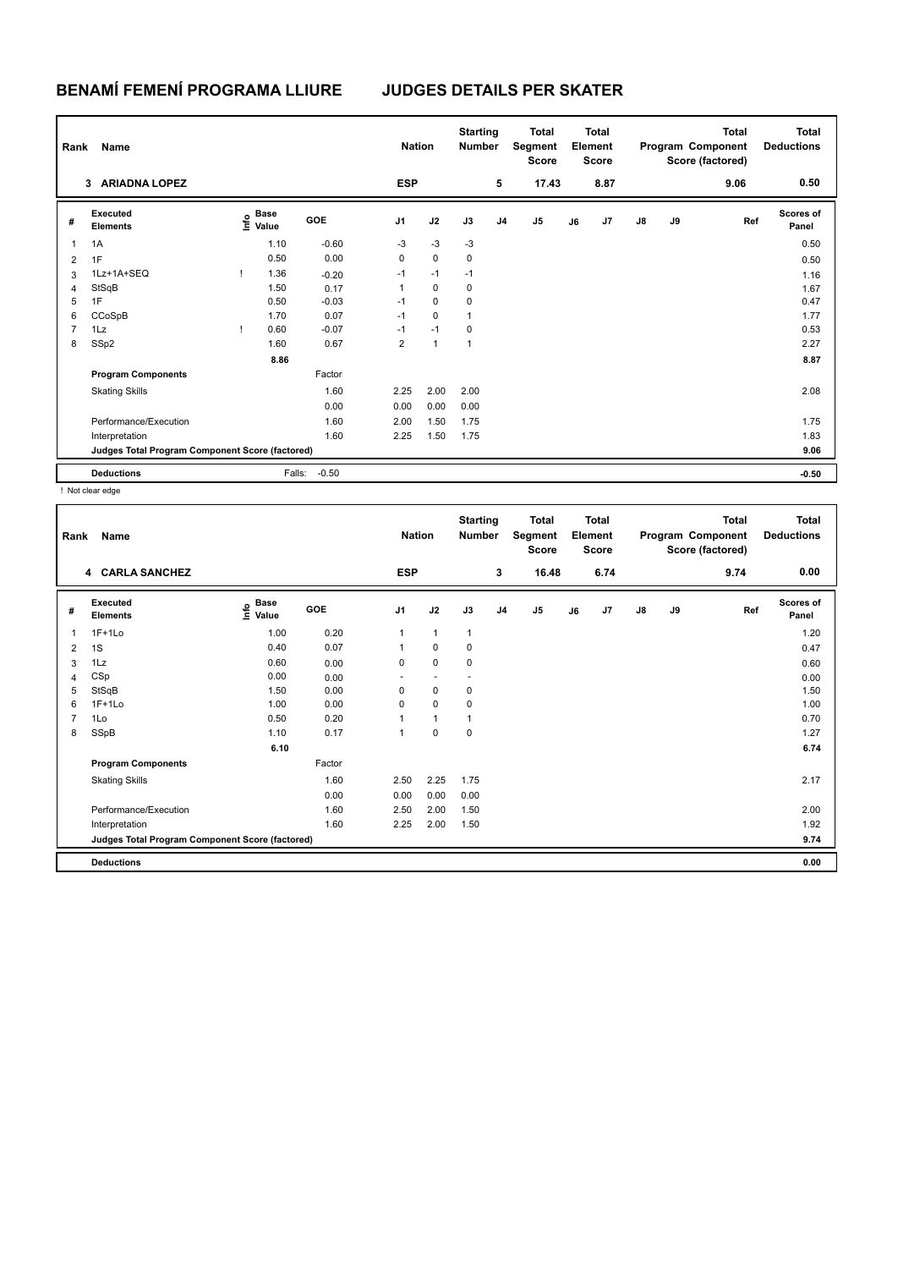# **BENAMÍ FEMENÍ PROGRAMA LLIURE JUDGES DETAILS PER SKATER**

| Rank<br>Name   |                                                 |  |                                  |            |                | <b>Nation</b> |      | <b>Starting</b><br><b>Number</b> | <b>Total</b><br>Segment<br><b>Score</b> |    | Total<br>Element<br>Score |               | <b>Total</b><br>Program Component<br>Score (factored) |      | <b>Total</b><br><b>Deductions</b> |
|----------------|-------------------------------------------------|--|----------------------------------|------------|----------------|---------------|------|----------------------------------|-----------------------------------------|----|---------------------------|---------------|-------------------------------------------------------|------|-----------------------------------|
|                | <b>ARIADNA LOPEZ</b><br>3                       |  |                                  |            | <b>ESP</b>     |               |      | 5                                | 17.43                                   |    | 8.87                      |               |                                                       | 9.06 | 0.50                              |
| #              | Executed<br><b>Elements</b>                     |  | <b>Base</b><br>e Base<br>⊆ Value | <b>GOE</b> | J <sub>1</sub> | J2            | J3   | J <sub>4</sub>                   | J5                                      | J6 | J <sub>7</sub>            | $\mathsf{J}8$ | J9                                                    | Ref  | <b>Scores of</b><br>Panel         |
| 1              | 1A                                              |  | 1.10                             | $-0.60$    | $-3$           | $-3$          | $-3$ |                                  |                                         |    |                           |               |                                                       |      | 0.50                              |
| $\overline{2}$ | 1F                                              |  | 0.50                             | 0.00       | 0              | $\mathbf 0$   | 0    |                                  |                                         |    |                           |               |                                                       |      | 0.50                              |
| 3              | 1Lz+1A+SEQ                                      |  | 1.36                             | $-0.20$    | $-1$           | $-1$          | $-1$ |                                  |                                         |    |                           |               |                                                       |      | 1.16                              |
| $\overline{4}$ | StSqB                                           |  | 1.50                             | 0.17       | 1              | 0             | 0    |                                  |                                         |    |                           |               |                                                       |      | 1.67                              |
| 5              | 1F                                              |  | 0.50                             | $-0.03$    | $-1$           | $\mathbf 0$   | 0    |                                  |                                         |    |                           |               |                                                       |      | 0.47                              |
| 6              | CCoSpB                                          |  | 1.70                             | 0.07       | $-1$           | 0             | 1    |                                  |                                         |    |                           |               |                                                       |      | 1.77                              |
| $\overline{7}$ | 1Lz                                             |  | 0.60                             | $-0.07$    | $-1$           | $-1$          | 0    |                                  |                                         |    |                           |               |                                                       |      | 0.53                              |
| 8              | SSp2                                            |  | 1.60                             | 0.67       | $\overline{2}$ | 1             | 1    |                                  |                                         |    |                           |               |                                                       |      | 2.27                              |
|                |                                                 |  | 8.86                             |            |                |               |      |                                  |                                         |    |                           |               |                                                       |      | 8.87                              |
|                | <b>Program Components</b>                       |  |                                  | Factor     |                |               |      |                                  |                                         |    |                           |               |                                                       |      |                                   |
|                | <b>Skating Skills</b>                           |  |                                  | 1.60       | 2.25           | 2.00          | 2.00 |                                  |                                         |    |                           |               |                                                       |      | 2.08                              |
|                |                                                 |  |                                  | 0.00       | 0.00           | 0.00          | 0.00 |                                  |                                         |    |                           |               |                                                       |      |                                   |
|                | Performance/Execution                           |  |                                  | 1.60       | 2.00           | 1.50          | 1.75 |                                  |                                         |    |                           |               |                                                       |      | 1.75                              |
|                | Interpretation                                  |  |                                  | 1.60       | 2.25           | 1.50          | 1.75 |                                  |                                         |    |                           |               |                                                       |      | 1.83                              |
|                | Judges Total Program Component Score (factored) |  |                                  |            |                |               |      |                                  |                                         |    |                           |               |                                                       |      | 9.06                              |
|                | <b>Deductions</b>                               |  | Falls:                           | $-0.50$    |                |               |      |                                  |                                         |    |                           |               |                                                       |      | $-0.50$                           |

! Not clear edge

|                | Name<br>Rank                                    |                                  |            |                | <b>Nation</b> |              | <b>Starting</b><br><b>Number</b> | <b>Total</b><br>Segment<br><b>Score</b> | <b>Total</b><br>Element<br><b>Score</b> |      |               |    | <b>Total</b><br>Program Component<br>Score (factored) | <b>Total</b><br><b>Deductions</b> |
|----------------|-------------------------------------------------|----------------------------------|------------|----------------|---------------|--------------|----------------------------------|-----------------------------------------|-----------------------------------------|------|---------------|----|-------------------------------------------------------|-----------------------------------|
|                | 4 CARLA SANCHEZ                                 |                                  |            | <b>ESP</b>     |               |              | 3                                | 16.48                                   |                                         | 6.74 |               |    | 9.74                                                  | 0.00                              |
| #              | Executed<br><b>Elements</b>                     | <b>Base</b><br>e Base<br>⊆ Value | <b>GOE</b> | J <sub>1</sub> | J2            | J3           | J <sub>4</sub>                   | J <sub>5</sub>                          | J6                                      | J7   | $\mathsf{J}8$ | J9 | Ref                                                   | <b>Scores of</b><br>Panel         |
| 1              | $1F+1L0$                                        | 1.00                             | 0.20       | $\mathbf{1}$   | $\mathbf{1}$  | $\mathbf{1}$ |                                  |                                         |                                         |      |               |    |                                                       | 1.20                              |
| $\overline{2}$ | 1S                                              | 0.40                             | 0.07       | 1              | 0             | 0            |                                  |                                         |                                         |      |               |    |                                                       | 0.47                              |
| 3              | 1Lz                                             | 0.60                             | 0.00       | 0              | $\mathbf 0$   | $\mathbf 0$  |                                  |                                         |                                         |      |               |    |                                                       | 0.60                              |
| 4              | CSp                                             | 0.00                             | 0.00       |                | <u>. .</u>    | н.           |                                  |                                         |                                         |      |               |    |                                                       | 0.00                              |
| 5              | StSqB                                           | 1.50                             | 0.00       | 0              | $\mathbf 0$   | 0            |                                  |                                         |                                         |      |               |    |                                                       | 1.50                              |
| 6              | $1F+1Lo$                                        | 1.00                             | 0.00       | $\Omega$       | $\mathbf 0$   | 0            |                                  |                                         |                                         |      |               |    |                                                       | 1.00                              |
|                | 1Lo                                             | 0.50                             | 0.20       |                | $\mathbf{1}$  | 1            |                                  |                                         |                                         |      |               |    |                                                       | 0.70                              |
| 8              | SSpB                                            | 1.10                             | 0.17       | 1              | $\mathbf 0$   | $\mathbf 0$  |                                  |                                         |                                         |      |               |    |                                                       | 1.27                              |
|                |                                                 | 6.10                             |            |                |               |              |                                  |                                         |                                         |      |               |    |                                                       | 6.74                              |
|                | <b>Program Components</b>                       |                                  | Factor     |                |               |              |                                  |                                         |                                         |      |               |    |                                                       |                                   |
|                | <b>Skating Skills</b>                           |                                  | 1.60       | 2.50           | 2.25          | 1.75         |                                  |                                         |                                         |      |               |    |                                                       | 2.17                              |
|                |                                                 |                                  | 0.00       | 0.00           | 0.00          | 0.00         |                                  |                                         |                                         |      |               |    |                                                       |                                   |
|                | Performance/Execution                           |                                  | 1.60       | 2.50           | 2.00          | 1.50         |                                  |                                         |                                         |      |               |    |                                                       | 2.00                              |
|                | Interpretation                                  |                                  | 1.60       | 2.25           | 2.00          | 1.50         |                                  |                                         |                                         |      |               |    |                                                       | 1.92                              |
|                | Judges Total Program Component Score (factored) |                                  |            |                |               |              |                                  |                                         |                                         |      |               |    |                                                       | 9.74                              |
|                | <b>Deductions</b>                               |                                  |            |                |               |              |                                  |                                         |                                         |      |               |    |                                                       | 0.00                              |